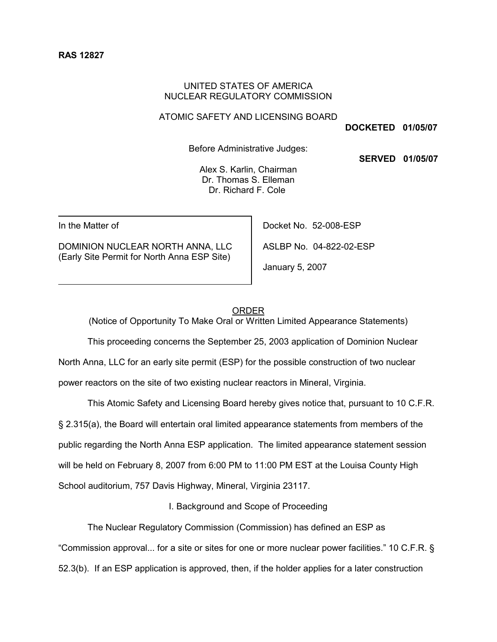### UNITED STATES OF AMERICA NUCLEAR REGULATORY COMMISSION

#### ATOMIC SAFETY AND LICENSING BOARD

**DOCKETED 01/05/07**

Before Administrative Judges:

**SERVED 01/05/07**

Alex S. Karlin, Chairman Dr. Thomas S. Elleman Dr. Richard F. Cole

In the Matter of

DOMINION NUCLEAR NORTH ANNA, LLC (Early Site Permit for North Anna ESP Site)

Docket No. 52-008-ESP ASLBP No. 04-822-02-ESP January 5, 2007

#### ORDER

(Notice of Opportunity To Make Oral or Written Limited Appearance Statements)

This proceeding concerns the September 25, 2003 application of Dominion Nuclear

North Anna, LLC for an early site permit (ESP) for the possible construction of two nuclear

power reactors on the site of two existing nuclear reactors in Mineral, Virginia.

This Atomic Safety and Licensing Board hereby gives notice that, pursuant to 10 C.F.R. § 2.315(a), the Board will entertain oral limited appearance statements from members of the public regarding the North Anna ESP application. The limited appearance statement session will be held on February 8, 2007 from 6:00 PM to 11:00 PM EST at the Louisa County High School auditorium, 757 Davis Highway, Mineral, Virginia 23117.

I. Background and Scope of Proceeding

The Nuclear Regulatory Commission (Commission) has defined an ESP as "Commission approval... for a site or sites for one or more nuclear power facilities." 10 C.F.R. § 52.3(b). If an ESP application is approved, then, if the holder applies for a later construction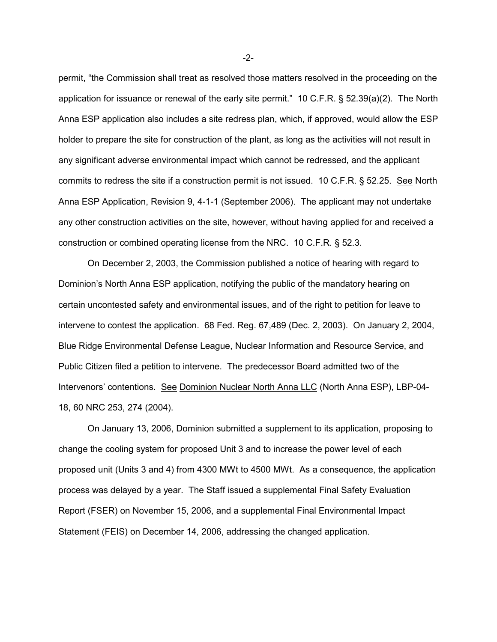permit, "the Commission shall treat as resolved those matters resolved in the proceeding on the application for issuance or renewal of the early site permit." 10 C.F.R. § 52.39(a)(2). The North Anna ESP application also includes a site redress plan, which, if approved, would allow the ESP holder to prepare the site for construction of the plant, as long as the activities will not result in any significant adverse environmental impact which cannot be redressed, and the applicant commits to redress the site if a construction permit is not issued. 10 C.F.R. § 52.25. See North Anna ESP Application, Revision 9, 4-1-1 (September 2006). The applicant may not undertake any other construction activities on the site, however, without having applied for and received a construction or combined operating license from the NRC. 10 C.F.R. § 52.3.

On December 2, 2003, the Commission published a notice of hearing with regard to Dominion's North Anna ESP application, notifying the public of the mandatory hearing on certain uncontested safety and environmental issues, and of the right to petition for leave to intervene to contest the application. 68 Fed. Reg. 67,489 (Dec. 2, 2003). On January 2, 2004, Blue Ridge Environmental Defense League, Nuclear Information and Resource Service, and Public Citizen filed a petition to intervene. The predecessor Board admitted two of the Intervenors' contentions. See Dominion Nuclear North Anna LLC (North Anna ESP), LBP-04- 18, 60 NRC 253, 274 (2004).

On January 13, 2006, Dominion submitted a supplement to its application, proposing to change the cooling system for proposed Unit 3 and to increase the power level of each proposed unit (Units 3 and 4) from 4300 MWt to 4500 MWt. As a consequence, the application process was delayed by a year. The Staff issued a supplemental Final Safety Evaluation Report (FSER) on November 15, 2006, and a supplemental Final Environmental Impact Statement (FEIS) on December 14, 2006, addressing the changed application.

-2-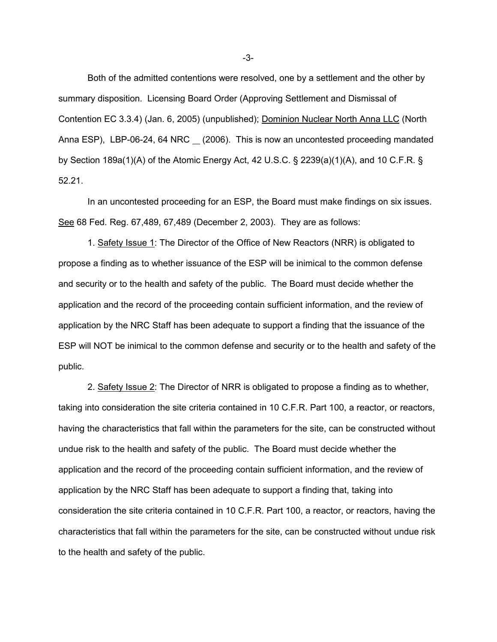Both of the admitted contentions were resolved, one by a settlement and the other by summary disposition. Licensing Board Order (Approving Settlement and Dismissal of Contention EC 3.3.4) (Jan. 6, 2005) (unpublished); Dominion Nuclear North Anna LLC (North Anna ESP), LBP-06-24, 64 NRC (2006). This is now an uncontested proceeding mandated by Section 189a(1)(A) of the Atomic Energy Act, 42 U.S.C. § 2239(a)(1)(A), and 10 C.F.R. § 52.21.

In an uncontested proceeding for an ESP, the Board must make findings on six issues. See 68 Fed. Reg. 67,489, 67,489 (December 2, 2003). They are as follows:

1. Safety Issue 1: The Director of the Office of New Reactors (NRR) is obligated to propose a finding as to whether issuance of the ESP will be inimical to the common defense and security or to the health and safety of the public. The Board must decide whether the application and the record of the proceeding contain sufficient information, and the review of application by the NRC Staff has been adequate to support a finding that the issuance of the ESP will NOT be inimical to the common defense and security or to the health and safety of the public.

2. Safety Issue 2: The Director of NRR is obligated to propose a finding as to whether, taking into consideration the site criteria contained in 10 C.F.R. Part 100, a reactor, or reactors, having the characteristics that fall within the parameters for the site, can be constructed without undue risk to the health and safety of the public. The Board must decide whether the application and the record of the proceeding contain sufficient information, and the review of application by the NRC Staff has been adequate to support a finding that, taking into consideration the site criteria contained in 10 C.F.R. Part 100, a reactor, or reactors, having the characteristics that fall within the parameters for the site, can be constructed without undue risk to the health and safety of the public.

-3-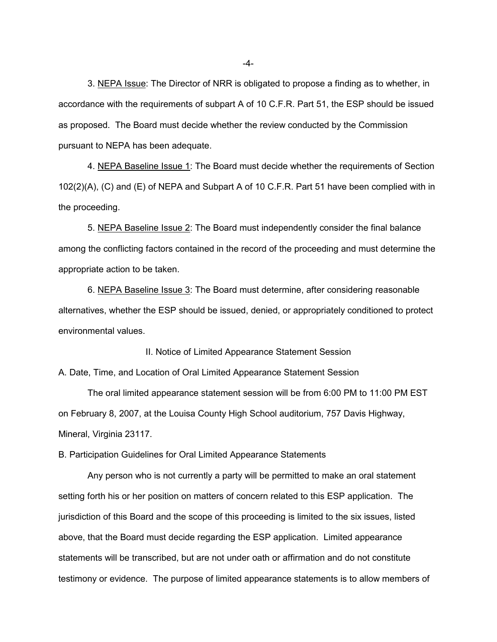3. NEPA Issue: The Director of NRR is obligated to propose a finding as to whether, in accordance with the requirements of subpart A of 10 C.F.R. Part 51, the ESP should be issued as proposed. The Board must decide whether the review conducted by the Commission pursuant to NEPA has been adequate.

4. NEPA Baseline Issue 1: The Board must decide whether the requirements of Section 102(2)(A), (C) and (E) of NEPA and Subpart A of 10 C.F.R. Part 51 have been complied with in the proceeding.

5. NEPA Baseline Issue 2: The Board must independently consider the final balance among the conflicting factors contained in the record of the proceeding and must determine the appropriate action to be taken.

6. NEPA Baseline Issue 3: The Board must determine, after considering reasonable alternatives, whether the ESP should be issued, denied, or appropriately conditioned to protect environmental values.

II. Notice of Limited Appearance Statement Session

A. Date, Time, and Location of Oral Limited Appearance Statement Session

The oral limited appearance statement session will be from 6:00 PM to 11:00 PM EST on February 8, 2007, at the Louisa County High School auditorium, 757 Davis Highway, Mineral, Virginia 23117.

B. Participation Guidelines for Oral Limited Appearance Statements

Any person who is not currently a party will be permitted to make an oral statement setting forth his or her position on matters of concern related to this ESP application. The jurisdiction of this Board and the scope of this proceeding is limited to the six issues, listed above, that the Board must decide regarding the ESP application. Limited appearance statements will be transcribed, but are not under oath or affirmation and do not constitute testimony or evidence. The purpose of limited appearance statements is to allow members of

-4-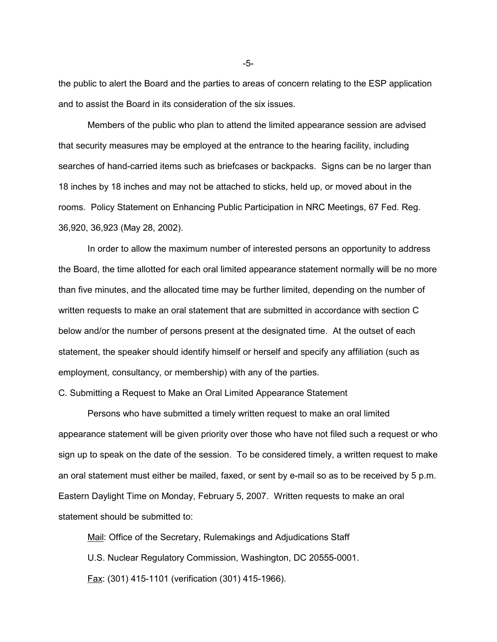the public to alert the Board and the parties to areas of concern relating to the ESP application and to assist the Board in its consideration of the six issues.

Members of the public who plan to attend the limited appearance session are advised that security measures may be employed at the entrance to the hearing facility, including searches of hand-carried items such as briefcases or backpacks. Signs can be no larger than 18 inches by 18 inches and may not be attached to sticks, held up, or moved about in the rooms. Policy Statement on Enhancing Public Participation in NRC Meetings, 67 Fed. Reg. 36,920, 36,923 (May 28, 2002).

In order to allow the maximum number of interested persons an opportunity to address the Board, the time allotted for each oral limited appearance statement normally will be no more than five minutes, and the allocated time may be further limited, depending on the number of written requests to make an oral statement that are submitted in accordance with section C below and/or the number of persons present at the designated time. At the outset of each statement, the speaker should identify himself or herself and specify any affiliation (such as employment, consultancy, or membership) with any of the parties.

C. Submitting a Request to Make an Oral Limited Appearance Statement

Persons who have submitted a timely written request to make an oral limited appearance statement will be given priority over those who have not filed such a request or who sign up to speak on the date of the session. To be considered timely, a written request to make an oral statement must either be mailed, faxed, or sent by e-mail so as to be received by 5 p.m. Eastern Daylight Time on Monday, February 5, 2007. Written requests to make an oral statement should be submitted to:

Mail: Office of the Secretary, Rulemakings and Adjudications Staff U.S. Nuclear Regulatory Commission, Washington, DC 20555-0001. Fax: (301) 415-1101 (verification (301) 415-1966).

-5-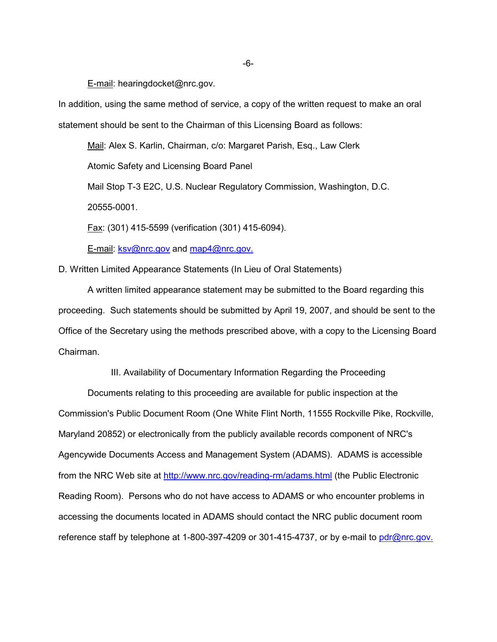E-mail: hearingdocket@nrc.gov.

In addition, using the same method of service, a copy of the written request to make an oral statement should be sent to the Chairman of this Licensing Board as follows:

Mail: Alex S. Karlin, Chairman, c/o: Margaret Parish, Esq., Law Clerk

Atomic Safety and Licensing Board Panel

Mail Stop T-3 E2C, U.S. Nuclear Regulatory Commission, Washington, D.C.

20555-0001.

Fax: (301) 415-5599 (verification (301) 415-6094).

E-mail: ksv@nrc.gov and map4@nrc.gov.

D. Written Limited Appearance Statements (In Lieu of Oral Statements)

A written limited appearance statement may be submitted to the Board regarding this proceeding. Such statements should be submitted by April 19, 2007, and should be sent to the Office of the Secretary using the methods prescribed above, with a copy to the Licensing Board Chairman.

III. Availability of Documentary Information Regarding the Proceeding

Documents relating to this proceeding are available for public inspection at the Commission's Public Document Room (One White Flint North, 11555 Rockville Pike, Rockville, Maryland 20852) or electronically from the publicly available records component of NRC's Agencywide Documents Access and Management System (ADAMS). ADAMS is accessible from the NRC Web site at http://www.nrc.gov/reading-rm/adams.html (the Public Electronic Reading Room). Persons who do not have access to ADAMS or who encounter problems in accessing the documents located in ADAMS should contact the NRC public document room reference staff by telephone at 1-800-397-4209 or 301-415-4737, or by e-mail to pdr@nrc.gov.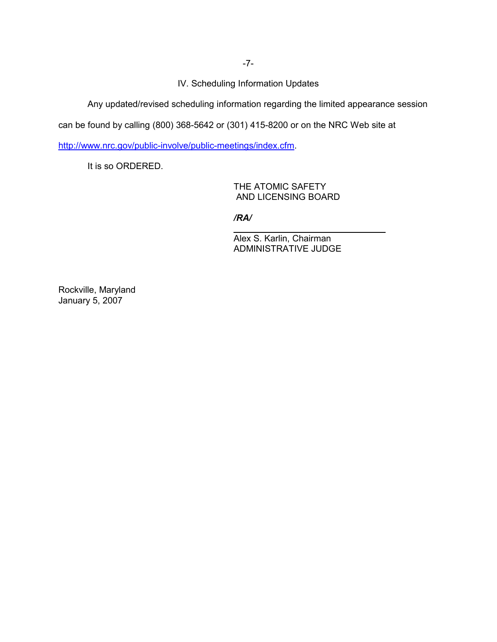IV. Scheduling Information Updates

Any updated/revised scheduling information regarding the limited appearance session

can be found by calling (800) 368-5642 or (301) 415-8200 or on the NRC Web site at

http://www.nrc.gov/public-involve/public-meetings/index.cfm.

It is so ORDERED.

THE ATOMIC SAFETY AND LICENSING BOARD

*/RA/*

l

Alex S. Karlin, Chairman ADMINISTRATIVE JUDGE

Rockville, Maryland January 5, 2007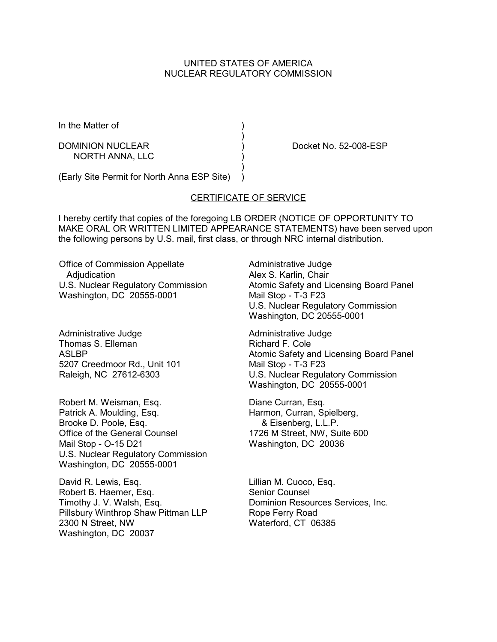# UNITED STATES OF AMERICA NUCLEAR REGULATORY COMMISSION

In the Matter of (1)

DOMINION NUCLEAR (Department of the Docket No. 52-008-ESP) NORTH ANNA, LLC )

(Early Site Permit for North Anna ESP Site) )

## CERTIFICATE OF SERVICE

)

 $\rightarrow$ 

I hereby certify that copies of the foregoing LB ORDER (NOTICE OF OPPORTUNITY TO MAKE ORAL OR WRITTEN LIMITED APPEARANCE STATEMENTS) have been served upon the following persons by U.S. mail, first class, or through NRC internal distribution.

Office of Commission Appellate Adjudication U.S. Nuclear Regulatory Commission Washington, DC 20555-0001

Administrative Judge Thomas S. Elleman **ASLBP** 5207 Creedmoor Rd., Unit 101 Raleigh, NC 27612-6303

Robert M. Weisman, Esq. Patrick A. Moulding, Esq. Brooke D. Poole, Esq. Office of the General Counsel Mail Stop - O-15 D21 U.S. Nuclear Regulatory Commission Washington, DC 20555-0001

David R. Lewis, Esq. Robert B. Haemer, Esq. Timothy J. V. Walsh, Esq. Pillsbury Winthrop Shaw Pittman LLP 2300 N Street, NW Washington, DC 20037

Administrative Judge Alex S. Karlin, Chair Atomic Safety and Licensing Board Panel Mail Stop - T-3 F23 U.S. Nuclear Regulatory Commission Washington, DC 20555-0001

Administrative Judge Richard F. Cole Atomic Safety and Licensing Board Panel Mail Stop - T-3 F23 U.S. Nuclear Regulatory Commission Washington, DC 20555-0001

Diane Curran, Esq. Harmon, Curran, Spielberg, & Eisenberg, L.L.P. 1726 M Street, NW, Suite 600 Washington, DC 20036

Lillian M. Cuoco, Esq. Senior Counsel Dominion Resources Services, Inc. Rope Ferry Road Waterford, CT 06385